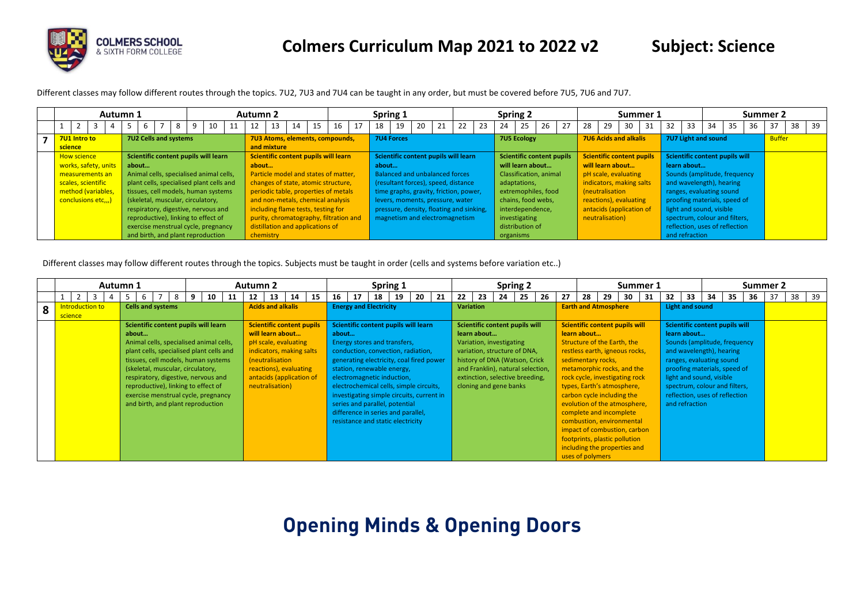

Different classes may follow different routes through the topics. 7U2, 7U3 and 7U4 can be taught in any order, but must be covered before 7U5, 7U6 and 7U7.

| Autumn 1             |                                          |   |    |                                    | <b>Autumn 2</b> |             |                                        |    |    |    |                                          | Spring 1          |    |                                        |    | <b>Spring 2</b> |                           |    |    |                                  |                              | Summer 1 |    |                                |    |    | Summer 2      |    |    |
|----------------------|------------------------------------------|---|----|------------------------------------|-----------------|-------------|----------------------------------------|----|----|----|------------------------------------------|-------------------|----|----------------------------------------|----|-----------------|---------------------------|----|----|----------------------------------|------------------------------|----------|----|--------------------------------|----|----|---------------|----|----|
|                      |                                          | 8 | 10 |                                    | 12              | 13          | 14                                     | 15 | 16 | 17 | 18                                       | 19                | 20 | 21                                     | 23 | 24              | 25                        | 26 | 27 | 28                               | 29                           | 30       | 32 | 33                             | 34 | 36 | 37            | 38 | 39 |
| 7U1 Intro to         | 7U2 Cells and systems                    |   |    |                                    |                 |             | 7U3 Atoms, elements, compounds,        |    |    |    |                                          | <b>7U4 Forces</b> |    |                                        |    |                 | <b>7U5 Ecology</b>        |    |    | 7U6 Acids and alkalis            |                              |          |    | 7U7 Light and sound            |    |    | <b>Buffer</b> |    |    |
| science              |                                          |   |    |                                    |                 | and mixture |                                        |    |    |    |                                          |                   |    |                                        |    |                 |                           |    |    |                                  |                              |          |    |                                |    |    |               |    |    |
| <b>How science</b>   | Scientific content pupils will learn     |   |    |                                    |                 |             | Scientific content pupils will learn   |    |    |    |                                          |                   |    | Scientific content pupils will learn   |    |                 | Scientific content pupils |    |    | <b>Scientific content pupils</b> |                              |          |    | Scientific content pupils will |    |    |               |    |    |
| works, safety, units | about                                    |   |    |                                    | about           |             |                                        |    |    |    | about                                    |                   |    |                                        |    |                 | will learn about          |    |    | will learn about                 |                              |          |    | learn about                    |    |    |               |    |    |
| measurements an      | Animal cells, specialised animal cells,  |   |    |                                    |                 |             | Particle model and states of matter,   |    |    |    |                                          |                   |    | Balanced and unbalanced forces         |    |                 | Classification, animal    |    |    | pH scale, evaluating             |                              |          |    | Sounds (amplitude, frequency   |    |    |               |    |    |
| scales, scientific   | plant cells, specialised plant cells and |   |    |                                    |                 |             | changes of state, atomic structure,    |    |    |    |                                          |                   |    | (resultant forces), speed, distance    |    |                 | adaptations,              |    |    | indicators, making salts         |                              |          |    | and wavelength), hearing       |    |    |               |    |    |
| method (variables,   | tissues, cell models, human systems      |   |    |                                    |                 |             | periodic table, properties of metals   |    |    |    |                                          |                   |    | time graphs, gravity, friction, power, |    |                 | extremophiles, food       |    |    | (neutralisation                  |                              |          |    | ranges, evaluating sound       |    |    |               |    |    |
| conclusions etc)     | (skeletal, muscular, circulatory,        |   |    | and non-metals, chemical analysis  |                 |             |                                        |    |    |    | levers, moments, pressure, water         |                   |    | chains, food webs,                     |    |                 | reactions), evaluating    |    |    |                                  | proofing materials, speed of |          |    |                                |    |    |               |    |    |
|                      | respiratory, digestive, nervous and      |   |    | including flame tests, testing for |                 |             |                                        |    |    |    | pressure, density, floating and sinking, |                   |    | interdependence,                       |    |                 | antacids (application of  |    |    |                                  | light and sound, visible     |          |    |                                |    |    |               |    |    |
|                      | reproductive), linking to effect of      |   |    |                                    |                 |             | purity, chromatography, filtration and |    |    |    |                                          |                   |    | magnetism and electromagnetism         |    |                 | investigating             |    |    | neutralisation)                  |                              |          |    | spectrum, colour and filters,  |    |    |               |    |    |
|                      | exercise menstrual cycle, pregnancy      |   |    |                                    |                 |             | distillation and applications of       |    |    |    |                                          |                   |    |                                        |    |                 | distribution of           |    |    |                                  |                              |          |    | reflection, uses of reflection |    |    |               |    |    |
|                      | and birth, and plant reproduction        |   |    |                                    | chemistry       |             |                                        |    |    |    |                                          |                   |    |                                        |    | organisms       |                           |    |    |                                  |                              |          |    | and refraction                 |    |    |               |    |    |

Different classes may follow different routes through the topics. Subjects must be taught in order (cells and systems before variation etc..)

|   |         |                 | Autumn 1                                                                                                                                                                                                                                                                                                                                                                                               |  |  |  |   |    |    |  | Autumn 2                                                                                                                                                                                             |    |    |       |    |                                                                                                                                                                                                                                                                                                                                              | Spring 1 |    |    |    |                  | <b>Spring 2</b>                                                                                                                                                                                                               |    |    |    |                                   |    | Summer 1                                                                                                                                                                                                                                                           |    |                 |                                                                                                                   |    |                                                                                                                                                                   | Summer 2 |    |    |     |  |
|---|---------|-----------------|--------------------------------------------------------------------------------------------------------------------------------------------------------------------------------------------------------------------------------------------------------------------------------------------------------------------------------------------------------------------------------------------------------|--|--|--|---|----|----|--|------------------------------------------------------------------------------------------------------------------------------------------------------------------------------------------------------|----|----|-------|----|----------------------------------------------------------------------------------------------------------------------------------------------------------------------------------------------------------------------------------------------------------------------------------------------------------------------------------------------|----------|----|----|----|------------------|-------------------------------------------------------------------------------------------------------------------------------------------------------------------------------------------------------------------------------|----|----|----|-----------------------------------|----|--------------------------------------------------------------------------------------------------------------------------------------------------------------------------------------------------------------------------------------------------------------------|----|-----------------|-------------------------------------------------------------------------------------------------------------------|----|-------------------------------------------------------------------------------------------------------------------------------------------------------------------|----------|----|----|-----|--|
|   |         |                 |                                                                                                                                                                                                                                                                                                                                                                                                        |  |  |  | 9 | 10 | 11 |  | 13<br>12                                                                                                                                                                                             | 14 | 15 | 16    | 17 | 18                                                                                                                                                                                                                                                                                                                                           | 19       | 20 | 21 | 22 | 23               | 24                                                                                                                                                                                                                            | 25 | 26 | 27 | 28                                | 29 | 30                                                                                                                                                                                                                                                                 | 31 | 32 <sub>2</sub> | 33                                                                                                                | 34 | 35                                                                                                                                                                | 36       | 37 | 38 | -39 |  |
|   |         | Introduction to |                                                                                                                                                                                                                                                                                                                                                                                                        |  |  |  |   |    |    |  | <b>Acids and alkalis</b>                                                                                                                                                                             |    |    |       |    | <b>Energy and Electricity</b>                                                                                                                                                                                                                                                                                                                |          |    |    |    | <b>Variation</b> |                                                                                                                                                                                                                               |    |    |    | <b>Earth and Atmosphere</b>       |    |                                                                                                                                                                                                                                                                    |    |                 | Light and sound                                                                                                   |    |                                                                                                                                                                   |          |    |    |     |  |
| 8 | science |                 | <b>Cells and systems</b><br>Scientific content pupils will learn<br>about<br>Animal cells, specialised animal cells,<br>plant cells, specialised plant cells and<br>tissues, cell models, human systems<br>(skeletal, muscular, circulatory,<br>respiratory, digestive, nervous and<br>reproductive), linking to effect of<br>exercise menstrual cycle, pregnancy<br>and birth, and plant reproduction |  |  |  |   |    |    |  | <b>Scientific content pupils</b><br>will learn about<br>pH scale, evaluating<br>indicators, making salts<br>(neutralisation<br>reactions), evaluating<br>antacids (application of<br>neutralisation) |    |    | about |    | Scientific content pupils will learn<br>Energy stores and transfers,<br>conduction, convection, radiation,<br>generating electricity, coal fired power<br>station, renewable energy,<br>electromagnetic induction,<br>electrochemical cells, simple circuits,<br>investigating simple circuits, current in<br>series and parallel, potential |          |    |    |    | learn about      | Scientific content pupils will<br>Variation, investigating<br>variation, structure of DNA,<br>history of DNA (Watson, Crick<br>and Franklin), natural selection,<br>extinction, selective breeding,<br>cloning and gene banks |    |    |    | learn about<br>sedimentary rocks, |    | <b>Scientific content pupils will</b><br>Structure of the Earth, the<br>restless earth, igneous rocks,<br>metamorphic rocks, and the<br>rock cycle, investigating rock<br>types, Earth's atmosphere,<br>carbon cycle including the<br>evolution of the atmosphere, |    |                 | learn about<br>and wavelength), hearing<br>ranges, evaluating sound<br>light and sound, visible<br>and refraction |    | Scientific content pupils will<br>Sounds (amplitude, frequency<br>proofing materials, speed of<br>spectrum, colour and filters,<br>reflection, uses of reflection |          |    |    |     |  |
|   |         |                 |                                                                                                                                                                                                                                                                                                                                                                                                        |  |  |  |   |    |    |  |                                                                                                                                                                                                      |    |    |       |    | difference in series and parallel,<br>resistance and static electricity                                                                                                                                                                                                                                                                      |          |    |    |    |                  |                                                                                                                                                                                                                               |    |    |    | uses of polymers                  |    | complete and incomplete<br>combustion, environmental<br>impact of combustion, carbon<br>footprints, plastic pollution<br>including the properties and                                                                                                              |    |                 |                                                                                                                   |    |                                                                                                                                                                   |          |    |    |     |  |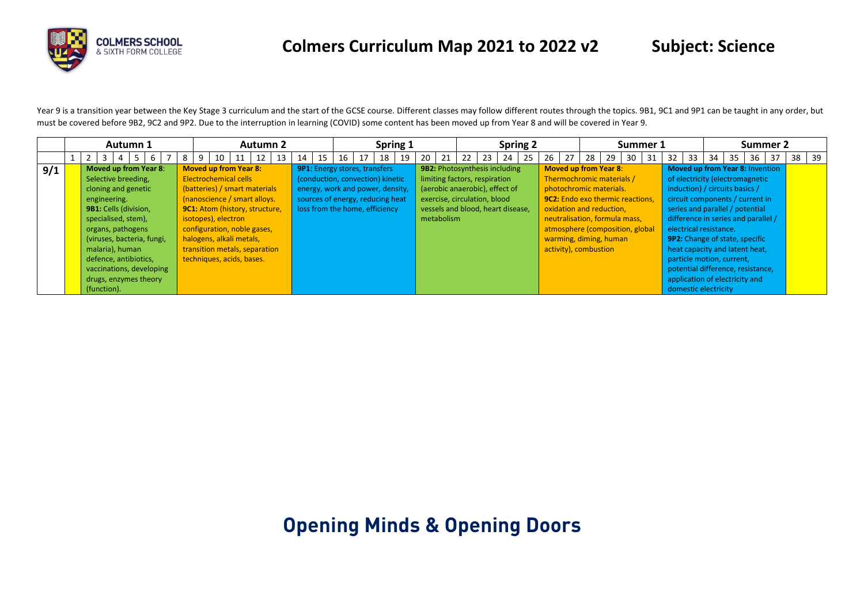

Year 9 is a transition year between the Key Stage 3 curriculum and the start of the GCSE course. Different classes may follow different routes through the topics. 9B1, 9C1 and 9P1 can be taught in any order, but must be covered before 9B2, 9C2 and 9P2. Due to the interruption in learning (COVID) some content has been moved up from Year 8 and will be covered in Year 9.

|     | Autumn 1                                                                                                                                                                                                                                         |                                                                                                                                                                                                                                                                                                                 |    |    | <b>Autumn 2</b> |    |    |    |                                                                                                                                                                                    |    | Spring 1 |    |            |    |                                                                                                                                                                       |    | <b>Spring 2</b> |    |    |                                                                                                                                                                                                                                                                                    |    |     | Summer 1 |                        |    |                                                             | Summer 2                                                                                                                                                                                                                                                          |     |       |
|-----|--------------------------------------------------------------------------------------------------------------------------------------------------------------------------------------------------------------------------------------------------|-----------------------------------------------------------------------------------------------------------------------------------------------------------------------------------------------------------------------------------------------------------------------------------------------------------------|----|----|-----------------|----|----|----|------------------------------------------------------------------------------------------------------------------------------------------------------------------------------------|----|----------|----|------------|----|-----------------------------------------------------------------------------------------------------------------------------------------------------------------------|----|-----------------|----|----|------------------------------------------------------------------------------------------------------------------------------------------------------------------------------------------------------------------------------------------------------------------------------------|----|-----|----------|------------------------|----|-------------------------------------------------------------|-------------------------------------------------------------------------------------------------------------------------------------------------------------------------------------------------------------------------------------------------------------------|-----|-------|
|     | 5.<br>-6                                                                                                                                                                                                                                         |                                                                                                                                                                                                                                                                                                                 | 10 | 11 | 12              | 14 | 15 | 16 |                                                                                                                                                                                    | 18 | 19       | 20 | 21         | 22 | 23                                                                                                                                                                    | 24 | 25              | 26 | 27 | 28                                                                                                                                                                                                                                                                                 | 29 | -30 |          | 33                     | 34 | 35                                                          | 36                                                                                                                                                                                                                                                                | -37 | 38 39 |
| 9/1 | <b>Moved up from Year 8:</b><br>Selective breeding,<br>cloning and genetic<br>engineering.<br><b>9B1:</b> Cells (division,<br>specialised, stem),<br>organs, pathogens<br>(viruses, bacteria, fungi,<br>malaria), human<br>defence, antibiotics, | <b>Moved up from Year 8:</b><br><b>Electrochemical cells</b><br>(batteries) / smart materials<br>(nanoscience / smart alloys.<br>9C1: Atom (history, structure,<br>isotopes), electron<br>configuration, noble gases,<br>halogens, alkali metals,<br>transition metals, separation<br>techniques, acids, bases. |    |    |                 |    |    |    | <b>9P1:</b> Energy stores, transfers<br>(conduction, convection) kinetic<br>energy, work and power, density,<br>sources of energy, reducing heat<br>loss from the home, efficiency |    |          |    | metabolism |    | 9B2: Photosynthesis including<br>limiting factors, respiration<br>(aerobic anaerobic), effect of<br>exercise, circulation, blood<br>vessels and blood, heart disease, |    |                 |    |    | <b>Moved up from Year 8:</b><br>Thermochromic materials /<br>photochromic materials.<br><b>9C2:</b> Endo exo thermic reactions.<br>oxidation and reduction,<br>neutralisation, formula mass,<br>atmosphere (composition, global<br>warming, diming, human<br>activity), combustion |    |     |          | electrical resistance. |    | induction) / circuits basics /<br>particle motion, current, | <b>Moved up from Year 8: Invention</b><br>of electricity (electromagnetic<br>circuit components / current in<br>series and parallel / potential<br>difference in series and parallel /<br><b>9P2:</b> Change of state, specific<br>heat capacity and latent heat, |     |       |
|     | vaccinations, developing<br>drugs, enzymes theory<br>(function).                                                                                                                                                                                 |                                                                                                                                                                                                                                                                                                                 |    |    |                 |    |    |    |                                                                                                                                                                                    |    |          |    |            |    |                                                                                                                                                                       |    |                 |    |    |                                                                                                                                                                                                                                                                                    |    |     |          | domestic electricity   |    | application of electricity and                              | potential difference, resistance,                                                                                                                                                                                                                                 |     |       |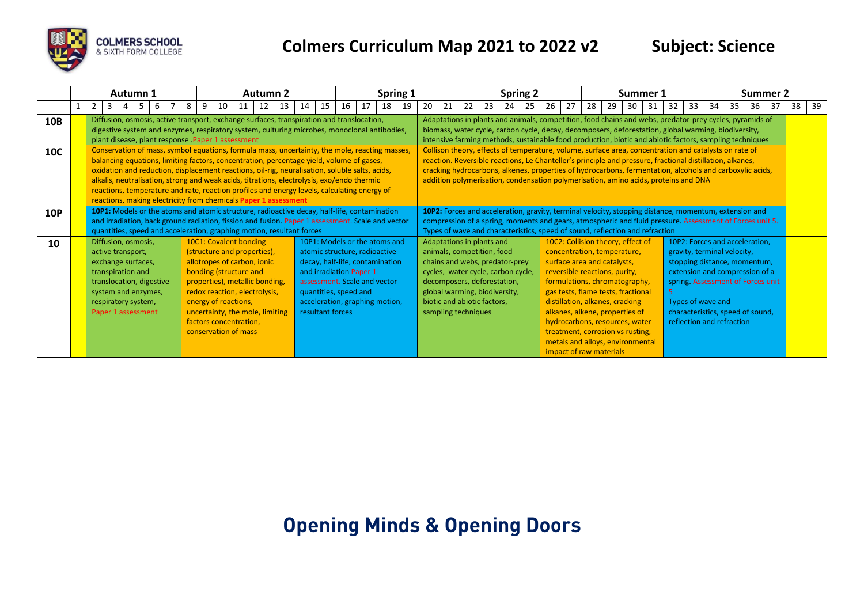

|            |   |                                                                                                                                                                                     | Autumn 1 |   |   |   |    |                                                                                                                                                                                                                                                                                                | <b>Autumn 2</b> |                                                                                                                                                                                                                                                                                                                                                                                                                                                                                                                                                             |    |                  |    |                                                                                                                   | Spring 1                                                                                           |    |    |    |                                                                                                                                                                                                                                                       |    |    | <b>Spring 2</b> |                                                                                                                                                                                                                                                                                                                                                                                                                       |    |    | Summer 1 |    |    |    |                                                                                                                                                                                                                                                            | Summer 2 |    |    |    |
|------------|---|-------------------------------------------------------------------------------------------------------------------------------------------------------------------------------------|----------|---|---|---|----|------------------------------------------------------------------------------------------------------------------------------------------------------------------------------------------------------------------------------------------------------------------------------------------------|-----------------|-------------------------------------------------------------------------------------------------------------------------------------------------------------------------------------------------------------------------------------------------------------------------------------------------------------------------------------------------------------------------------------------------------------------------------------------------------------------------------------------------------------------------------------------------------------|----|------------------|----|-------------------------------------------------------------------------------------------------------------------|----------------------------------------------------------------------------------------------------|----|----|----|-------------------------------------------------------------------------------------------------------------------------------------------------------------------------------------------------------------------------------------------------------|----|----|-----------------|-----------------------------------------------------------------------------------------------------------------------------------------------------------------------------------------------------------------------------------------------------------------------------------------------------------------------------------------------------------------------------------------------------------------------|----|----|----------|----|----|----|------------------------------------------------------------------------------------------------------------------------------------------------------------------------------------------------------------------------------------------------------------|----------|----|----|----|
|            | 2 | 3                                                                                                                                                                                   |          | 6 | 8 | 9 | 10 | 11                                                                                                                                                                                                                                                                                             | 12              | 13                                                                                                                                                                                                                                                                                                                                                                                                                                                                                                                                                          | 14 | 15               | 16 | 17                                                                                                                | 18                                                                                                 | 19 | 20 | 21 | 22                                                                                                                                                                                                                                                    | 23 | 24 | -25             | 26<br>27                                                                                                                                                                                                                                                                                                                                                                                                              | 28 | 29 | 30       | 31 | 32 | 33 | 34<br>35                                                                                                                                                                                                                                                   | 36       | 37 | 38 | 39 |
| 10B        |   |                                                                                                                                                                                     |          |   |   |   |    | plant disease, plant response . Paper 1 assessment                                                                                                                                                                                                                                             |                 | Diffusion, osmosis, active transport, exchange surfaces, transpiration and translocation,<br>digestive system and enzymes, respiratory system, culturing microbes, monoclonal antibodies,                                                                                                                                                                                                                                                                                                                                                                   |    |                  |    |                                                                                                                   |                                                                                                    |    |    |    |                                                                                                                                                                                                                                                       |    |    |                 | Adaptations in plants and animals, competition, food chains and webs, predator-prey cycles, pyramids of<br>biomass, water cycle, carbon cycle, decay, decomposers, deforestation, global warming, biodiversity,<br>intensive farming methods, sustainable food production, biotic and abiotic factors, sampling techniques                                                                                            |    |    |          |    |    |    |                                                                                                                                                                                                                                                            |          |    |    |    |
| <b>10C</b> |   |                                                                                                                                                                                     |          |   |   |   |    |                                                                                                                                                                                                                                                                                                |                 | Conservation of mass, symbol equations, formula mass, uncertainty, the mole, reacting masses,<br>balancing equations, limiting factors, concentration, percentage yield, volume of gases,<br>oxidation and reduction, displacement reactions, oil-rig, neuralisation, soluble salts, acids,<br>alkalis, neutralisation, strong and weak acids, titrations, electrolysis, exo/endo thermic<br>reactions, temperature and rate, reaction profiles and energy levels, calculating energy of<br>reactions, making electricity from chemicals Paper 1 assessment |    |                  |    |                                                                                                                   |                                                                                                    |    |    |    |                                                                                                                                                                                                                                                       |    |    |                 | Collison theory, effects of temperature, volume, surface area, concentration and catalysts on rate of<br>reaction. Reversible reactions, Le Chanteller's principle and pressure, fractional distillation, alkanes,<br>cracking hydrocarbons, alkenes, properties of hydrocarbons, fermentation, alcohols and carboxylic acids,<br>addition polymerisation, condensation polymerisation, amino acids, proteins and DNA |    |    |          |    |    |    |                                                                                                                                                                                                                                                            |          |    |    |    |
| <b>10P</b> |   |                                                                                                                                                                                     |          |   |   |   |    |                                                                                                                                                                                                                                                                                                |                 | 10P1: Models or the atoms and atomic structure, radioactive decay, half-life, contamination<br>and irradiation, back ground radiation, fission and fusion. Paper 1 assessment. Scale and vector<br>quantities, speed and acceleration, graphing motion, resultant forces                                                                                                                                                                                                                                                                                    |    |                  |    |                                                                                                                   |                                                                                                    |    |    |    |                                                                                                                                                                                                                                                       |    |    |                 | 10P2: Forces and acceleration, gravity, terminal velocity, stopping distance, momentum, extension and<br>compression of a spring, moments and gears, atmospheric and fluid pressure. Assessment of Forces unit 5.<br>Types of wave and characteristics, speed of sound, reflection and refraction                                                                                                                     |    |    |          |    |    |    |                                                                                                                                                                                                                                                            |          |    |    |    |
| 10         |   | Diffusion, osmosis,<br>active transport,<br>exchange surfaces,<br>transpiration and<br>translocation, digestive<br>system and enzymes,<br>respiratory system,<br>Paper 1 assessment |          |   |   |   |    | 10C1: Covalent bonding<br>(structure and properties),<br>allotropes of carbon, ionic<br>bonding (structure and<br>properties), metallic bonding,<br>redox reaction, electrolysis,<br>energy of reactions,<br>uncertainty, the mole, limiting<br>factors concentration,<br>conservation of mass |                 |                                                                                                                                                                                                                                                                                                                                                                                                                                                                                                                                                             |    | resultant forces |    | atomic structure, radioactive<br>and irradiation Paper 1<br>assessment. Scale and vector<br>quantities, speed and | 10P1: Models or the atoms and<br>decay, half-life, contamination<br>acceleration, graphing motion, |    |    |    | Adaptations in plants and<br>animals, competition, food<br>chains and webs, predator-prey<br>cycles, water cycle, carbon cycle,<br>decomposers, deforestation,<br>global warming, biodiversity,<br>biotic and abiotic factors,<br>sampling techniques |    |    |                 | 10C2: Collision theory, effect of<br>concentration, temperature,<br>surface area and catalysts,<br>reversible reactions, purity,<br>formulations, chromatography,<br>gas tests, flame tests, fractional<br>distillation, alkanes, cracking<br>alkanes, alkene, properties of<br>hydrocarbons, resources, water<br>treatment, corrosion vs rusting,<br>metals and alloys, environmental<br>impact of raw materials     |    |    |          |    |    |    | 10P2: Forces and acceleration,<br>gravity, terminal velocity,<br>stopping distance, momentum,<br>extension and compression of a<br>spring. Assessment of Forces unit<br>Types of wave and<br>characteristics, speed of sound,<br>reflection and refraction |          |    |    |    |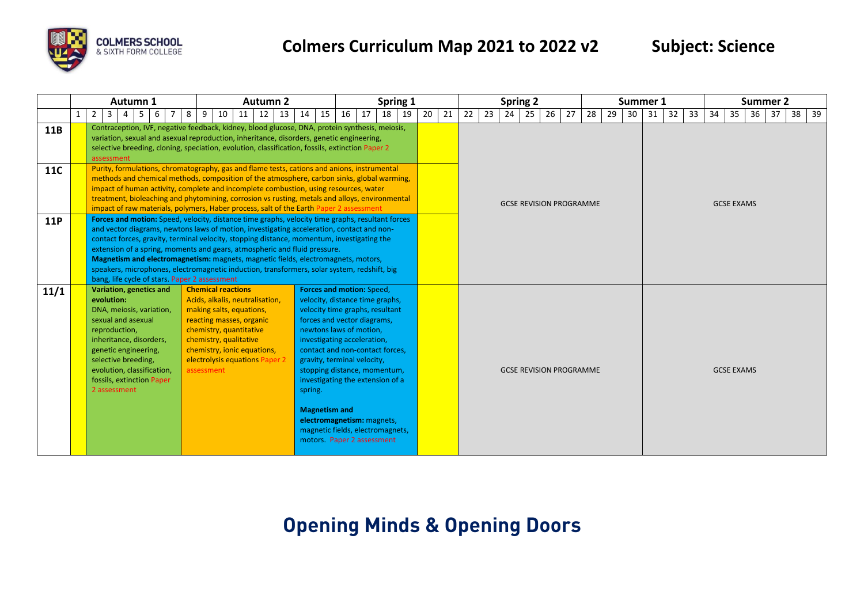

|            |   |                | Autumn 1                                                                   |                                                                                                                                                                   |            |                                                     | <b>Autumn 2</b>                                                                                                                                                                     |                                                                                                                                                                                                                                                                                                                                                                                                                                                                                                                                                              |                      |                                                                                                                                                                                                                                                                                                                                                                                                                                       | Spring 1 |    |    |          |    |    | <b>Spring 2</b>                |    |    |    |    | Summer 1 |    |    |    |                   | Summer 2 |    |    |    |
|------------|---|----------------|----------------------------------------------------------------------------|-------------------------------------------------------------------------------------------------------------------------------------------------------------------|------------|-----------------------------------------------------|-------------------------------------------------------------------------------------------------------------------------------------------------------------------------------------|--------------------------------------------------------------------------------------------------------------------------------------------------------------------------------------------------------------------------------------------------------------------------------------------------------------------------------------------------------------------------------------------------------------------------------------------------------------------------------------------------------------------------------------------------------------|----------------------|---------------------------------------------------------------------------------------------------------------------------------------------------------------------------------------------------------------------------------------------------------------------------------------------------------------------------------------------------------------------------------------------------------------------------------------|----------|----|----|----------|----|----|--------------------------------|----|----|----|----|----------|----|----|----|-------------------|----------|----|----|----|
|            | 2 | $\overline{3}$ | $\overline{4}$                                                             | -5<br>6                                                                                                                                                           | 8<br>9     | 10                                                  | 12<br>11                                                                                                                                                                            | 13<br>14                                                                                                                                                                                                                                                                                                                                                                                                                                                                                                                                                     | 15                   | 17<br>16                                                                                                                                                                                                                                                                                                                                                                                                                              | 18       | 19 | 20 | 22<br>21 | 23 | 24 | 25                             | 26 | 27 | 28 | 29 | 30       | 31 | 32 | 33 | 34<br>35          | 36       | 37 | 38 | 39 |
| <b>11B</b> |   | assessment     |                                                                            |                                                                                                                                                                   |            |                                                     |                                                                                                                                                                                     | Contraception, IVF, negative feedback, kidney, blood glucose, DNA, protein synthesis, meiosis,<br>variation, sexual and asexual reproduction, inheritance, disorders, genetic engineering,<br>selective breeding, cloning, speciation, evolution, classification, fossils, extinction Paper 2                                                                                                                                                                                                                                                                |                      |                                                                                                                                                                                                                                                                                                                                                                                                                                       |          |    |    |          |    |    |                                |    |    |    |    |          |    |    |    |                   |          |    |    |    |
| <b>11C</b> |   |                |                                                                            |                                                                                                                                                                   |            |                                                     |                                                                                                                                                                                     | Purity, formulations, chromatography, gas and flame tests, cations and anions, instrumental<br>methods and chemical methods, composition of the atmosphere, carbon sinks, global warming,<br>impact of human activity, complete and incomplete combustion, using resources, water<br>treatment, bioleaching and phytomining, corrosion vs rusting, metals and alloys, environmental<br>impact of raw materials, polymers, Haber process, salt of the Earth Paper 2 assessment                                                                                |                      |                                                                                                                                                                                                                                                                                                                                                                                                                                       |          |    |    |          |    |    | <b>GCSE REVISION PROGRAMME</b> |    |    |    |    |          |    |    |    | <b>GCSE EXAMS</b> |          |    |    |    |
| <b>11P</b> |   |                |                                                                            | bang, life cycle of stars. Paper 2 assessment                                                                                                                     |            |                                                     |                                                                                                                                                                                     | Forces and motion: Speed, velocity, distance time graphs, velocity time graphs, resultant forces<br>and vector diagrams, newtons laws of motion, investigating acceleration, contact and non-<br>contact forces, gravity, terminal velocity, stopping distance, momentum, investigating the<br>extension of a spring, moments and gears, atmospheric and fluid pressure.<br>Magnetism and electromagnetism: magnets, magnetic fields, electromagnets, motors,<br>speakers, microphones, electromagnetic induction, transformers, solar system, redshift, big |                      |                                                                                                                                                                                                                                                                                                                                                                                                                                       |          |    |    |          |    |    |                                |    |    |    |    |          |    |    |    |                   |          |    |    |    |
| 11/1       |   | evolution:     | sexual and asexual<br>reproduction,<br>selective breeding,<br>2 assessment | Variation, genetics and<br>DNA, meiosis, variation,<br>inheritance, disorders,<br>genetic engineering,<br>evolution, classification,<br>fossils, extinction Paper | assessment | <b>Chemical reactions</b><br>chemistry, qualitative | Acids, alkalis, neutralisation,<br>making salts, equations,<br>reacting masses, organic<br>chemistry, quantitative<br>chemistry, ionic equations,<br>electrolysis equations Paper 2 | spring.                                                                                                                                                                                                                                                                                                                                                                                                                                                                                                                                                      | <b>Magnetism and</b> | <b>Forces and motion: Speed,</b><br>velocity, distance time graphs,<br>velocity time graphs, resultant<br>forces and vector diagrams,<br>newtons laws of motion,<br>investigating acceleration,<br>contact and non-contact forces,<br>gravity, terminal velocity,<br>stopping distance, momentum,<br>investigating the extension of a<br>electromagnetism: magnets,<br>magnetic fields, electromagnets,<br>motors. Paper 2 assessment |          |    |    |          |    |    | <b>GCSE REVISION PROGRAMME</b> |    |    |    |    |          |    |    |    | <b>GCSE EXAMS</b> |          |    |    |    |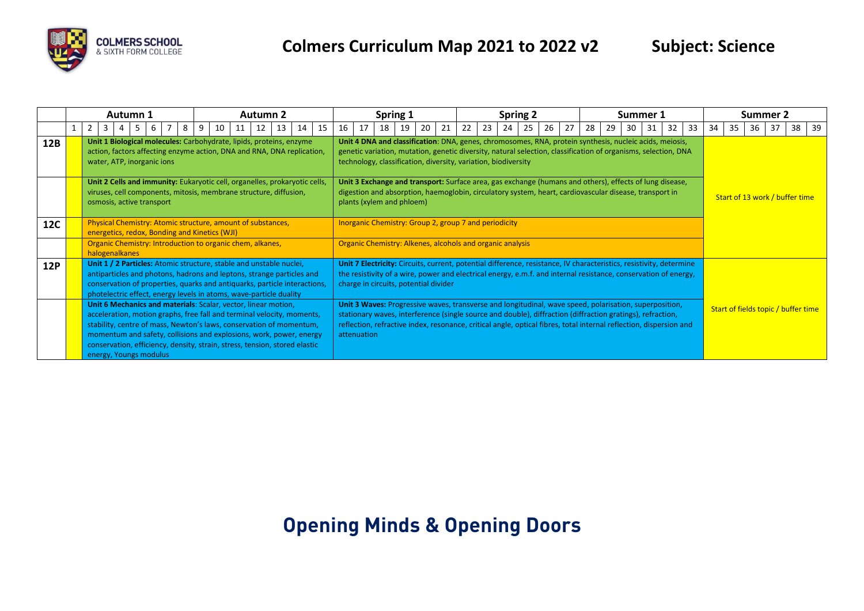

|            |                                                                                                                                                                                                                                                                                                                                                                                                                                                                      | Autumn 1<br><b>Autumn 2</b><br>14<br>15<br>8<br>9<br>10<br>13<br>16<br>11<br>12<br>3<br>6<br>Unit 1 Biological molecules: Carbohydrate, lipids, proteins, enzyme<br>action, factors affecting enzyme action, DNA and RNA, DNA replication,<br>water, ATP, inorganic ions<br>Unit 2 Cells and immunity: Eukaryotic cell, organelles, prokaryotic cells,<br>viruses, cell components, mitosis, membrane structure, diffusion,<br>osmosis, active transport |  |  |  |  |  |  |  |  |                                                           |  |                                                                                                                                                                                                                           |             |  |    |    | Spring 1                              |                                                                                                                                                                                                                                                                                                                                            |                                                                                                                                                                                                                                                                                             |                                                                                                                                                                                                                                        |    |    | <b>Spring 2</b> |    |    |    |    |    | Summer 1 |    |                                     |     |                                | Summer 2 |    |    |     |
|------------|----------------------------------------------------------------------------------------------------------------------------------------------------------------------------------------------------------------------------------------------------------------------------------------------------------------------------------------------------------------------------------------------------------------------------------------------------------------------|----------------------------------------------------------------------------------------------------------------------------------------------------------------------------------------------------------------------------------------------------------------------------------------------------------------------------------------------------------------------------------------------------------------------------------------------------------|--|--|--|--|--|--|--|--|-----------------------------------------------------------|--|---------------------------------------------------------------------------------------------------------------------------------------------------------------------------------------------------------------------------|-------------|--|----|----|---------------------------------------|--------------------------------------------------------------------------------------------------------------------------------------------------------------------------------------------------------------------------------------------------------------------------------------------------------------------------------------------|---------------------------------------------------------------------------------------------------------------------------------------------------------------------------------------------------------------------------------------------------------------------------------------------|----------------------------------------------------------------------------------------------------------------------------------------------------------------------------------------------------------------------------------------|----|----|-----------------|----|----|----|----|----|----------|----|-------------------------------------|-----|--------------------------------|----------|----|----|-----|
|            |                                                                                                                                                                                                                                                                                                                                                                                                                                                                      |                                                                                                                                                                                                                                                                                                                                                                                                                                                          |  |  |  |  |  |  |  |  |                                                           |  |                                                                                                                                                                                                                           |             |  | 17 | 18 | 19 I                                  | -20                                                                                                                                                                                                                                                                                                                                        | 21                                                                                                                                                                                                                                                                                          | 22                                                                                                                                                                                                                                     | 23 | 24 | 25              | 26 | 27 | 28 | 29 | 30 | 31       | 32 | 33                                  | -34 | 35                             | 36       | 37 | 38 | -39 |
| 12B        |                                                                                                                                                                                                                                                                                                                                                                                                                                                                      |                                                                                                                                                                                                                                                                                                                                                                                                                                                          |  |  |  |  |  |  |  |  |                                                           |  |                                                                                                                                                                                                                           |             |  |    |    |                                       |                                                                                                                                                                                                                                                                                                                                            | Unit 4 DNA and classification: DNA, genes, chromosomes, RNA, protein synthesis, nucleic acids, meiosis,<br>genetic variation, mutation, genetic diversity, natural selection, classification of organisms, selection, DNA<br>technology, classification, diversity, variation, biodiversity |                                                                                                                                                                                                                                        |    |    |                 |    |    |    |    |    |          |    |                                     |     |                                |          |    |    |     |
|            |                                                                                                                                                                                                                                                                                                                                                                                                                                                                      |                                                                                                                                                                                                                                                                                                                                                                                                                                                          |  |  |  |  |  |  |  |  |                                                           |  |                                                                                                                                                                                                                           |             |  |    |    | plants (xylem and phloem)             |                                                                                                                                                                                                                                                                                                                                            |                                                                                                                                                                                                                                                                                             | Unit 3 Exchange and transport: Surface area, gas exchange (humans and others), effects of lung disease,<br>digestion and absorption, haemoglobin, circulatory system, heart, cardiovascular disease, transport in                      |    |    |                 |    |    |    |    |    |          |    |                                     |     | Start of 13 work / buffer time |          |    |    |     |
| <b>12C</b> |                                                                                                                                                                                                                                                                                                                                                                                                                                                                      | Physical Chemistry: Atomic structure, amount of substances,<br>energetics, redox, Bonding and Kinetics (WJI)                                                                                                                                                                                                                                                                                                                                             |  |  |  |  |  |  |  |  |                                                           |  |                                                                                                                                                                                                                           |             |  |    |    |                                       |                                                                                                                                                                                                                                                                                                                                            |                                                                                                                                                                                                                                                                                             | <b>Inorganic Chemistry: Group 2, group 7 and periodicity</b>                                                                                                                                                                           |    |    |                 |    |    |    |    |    |          |    |                                     |     |                                |          |    |    |     |
|            | halogenalkanes                                                                                                                                                                                                                                                                                                                                                                                                                                                       |                                                                                                                                                                                                                                                                                                                                                                                                                                                          |  |  |  |  |  |  |  |  | Organic Chemistry: Introduction to organic chem, alkanes, |  |                                                                                                                                                                                                                           |             |  |    |    |                                       |                                                                                                                                                                                                                                                                                                                                            |                                                                                                                                                                                                                                                                                             | Organic Chemistry: Alkenes, alcohols and organic analysis                                                                                                                                                                              |    |    |                 |    |    |    |    |    |          |    |                                     |     |                                |          |    |    |     |
| <b>12P</b> |                                                                                                                                                                                                                                                                                                                                                                                                                                                                      |                                                                                                                                                                                                                                                                                                                                                                                                                                                          |  |  |  |  |  |  |  |  |                                                           |  | Unit 1 / 2 Particles: Atomic structure, stable and unstable nuclei,<br>antiparticles and photons, hadrons and leptons, strange particles and<br>conservation of properties, quarks and antiquarks, particle interactions, |             |  |    |    | charge in circuits, potential divider |                                                                                                                                                                                                                                                                                                                                            |                                                                                                                                                                                                                                                                                             | Unit 7 Electricity: Circuits, current, potential difference, resistance, IV characteristics, resistivity, determine<br>the resistivity of a wire, power and electrical energy, e.m.f. and internal resistance, conservation of energy, |    |    |                 |    |    |    |    |    |          |    |                                     |     |                                |          |    |    |     |
|            | photelectric effect, energy levels in atoms, wave-particle duality<br>Unit 6 Mechanics and materials: Scalar, vector, linear motion,<br>acceleration, motion graphs, free fall and terminal velocity, moments,<br>stability, centre of mass, Newton's laws, conservation of momentum,<br>momentum and safety, collisions and explosions, work, power, energy<br>conservation, efficiency, density, strain, stress, tension, stored elastic<br>energy, Youngs modulus |                                                                                                                                                                                                                                                                                                                                                                                                                                                          |  |  |  |  |  |  |  |  |                                                           |  |                                                                                                                                                                                                                           | attenuation |  |    |    |                                       | Unit 3 Waves: Progressive waves, transverse and longitudinal, wave speed, polarisation, superposition,<br>stationary waves, interference (single source and double), diffraction (diffraction gratings), refraction,<br>reflection, refractive index, resonance, critical angle, optical fibres, total internal reflection, dispersion and |                                                                                                                                                                                                                                                                                             |                                                                                                                                                                                                                                        |    |    |                 |    |    |    |    |    |          |    | Start of fields topic / buffer time |     |                                |          |    |    |     |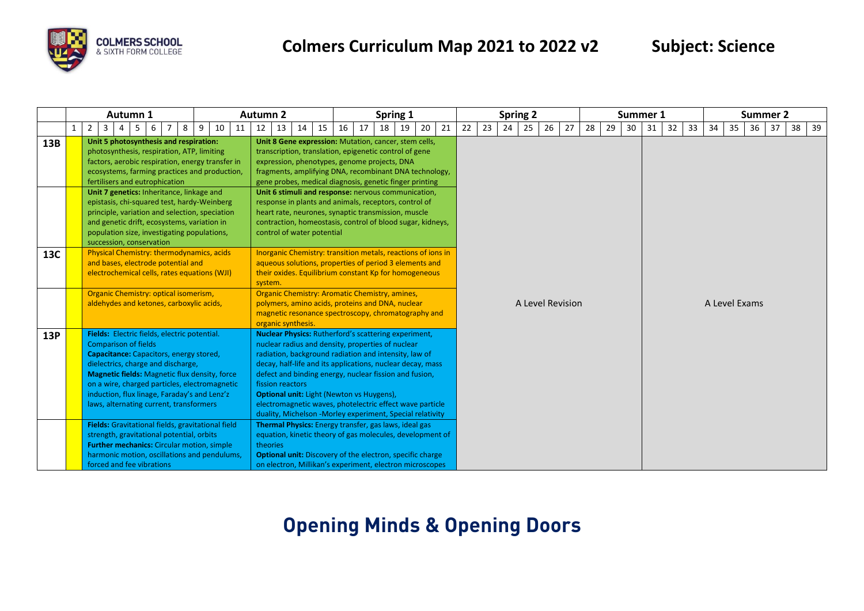

|     |              |                                                                              |                                                                                                                                                                                                                                                                                                                                                                  |  |  |  |  |  |  |  |  |  |  |  |    |    | <b>Autumn 2</b> |          |    |                    |                            |    |    |    | Spring 1                                                                                                                                                                                                                                                                                                                                                                                                                                                                       |    |    |    |    |    | <b>Spring 2</b> |    |    |                  |    |    |    | Summer 1 |    |    |    |               |    | <b>Summer 2</b> |  |  |  |
|-----|--------------|------------------------------------------------------------------------------|------------------------------------------------------------------------------------------------------------------------------------------------------------------------------------------------------------------------------------------------------------------------------------------------------------------------------------------------------------------|--|--|--|--|--|--|--|--|--|--|--|----|----|-----------------|----------|----|--------------------|----------------------------|----|----|----|--------------------------------------------------------------------------------------------------------------------------------------------------------------------------------------------------------------------------------------------------------------------------------------------------------------------------------------------------------------------------------------------------------------------------------------------------------------------------------|----|----|----|----|----|-----------------|----|----|------------------|----|----|----|----------|----|----|----|---------------|----|-----------------|--|--|--|
|     | $\mathbf{1}$ | Autumn 1<br>$2^{\circ}$<br>$\mathbf{3}$<br>8<br>6<br>9<br>10<br>11<br>5<br>4 |                                                                                                                                                                                                                                                                                                                                                                  |  |  |  |  |  |  |  |  |  |  |  | 12 | 13 | 14              | 15       | 16 | 17                 |                            | 18 | 19 | 20 | 21                                                                                                                                                                                                                                                                                                                                                                                                                                                                             | 22 | 23 | 24 | 25 | 26 | 27              | 28 | 29 | 30               | 31 | 32 | 33 | 34       | 35 | 36 | 37 | 38            | 39 |                 |  |  |  |
| 13B |              |                                                                              | Unit 5 photosynthesis and respiration:<br>photosynthesis, respiration, ATP, limiting<br>factors, aerobic respiration, energy transfer in<br>ecosystems, farming practices and production,<br>fertilisers and eutrophication                                                                                                                                      |  |  |  |  |  |  |  |  |  |  |  |    |    |                 |          |    |                    |                            |    |    |    | Unit 8 Gene expression: Mutation, cancer, stem cells,<br>transcription, translation, epigenetic control of gene<br>expression, phenotypes, genome projects, DNA<br>fragments, amplifying DNA, recombinant DNA technology,<br>gene probes, medical diagnosis, genetic finger printing                                                                                                                                                                                           |    |    |    |    |    |                 |    |    |                  |    |    |    |          |    |    |    |               |    |                 |  |  |  |
|     |              |                                                                              | Unit 7 genetics: Inheritance, linkage and<br>epistasis, chi-squared test, hardy-Weinberg<br>principle, variation and selection, speciation<br>and genetic drift, ecosystems, variation in<br>population size, investigating populations,<br>succession, conservation                                                                                             |  |  |  |  |  |  |  |  |  |  |  |    |    |                 |          |    |                    | control of water potential |    |    |    | Unit 6 stimuli and response: nervous communication,<br>response in plants and animals, receptors, control of<br>heart rate, neurones, synaptic transmission, muscle<br>contraction, homeostasis, control of blood sugar, kidneys,                                                                                                                                                                                                                                              |    |    |    |    |    |                 |    |    |                  |    |    |    |          |    |    |    |               |    |                 |  |  |  |
| 13C |              |                                                                              | Physical Chemistry: thermodynamics, acids<br>and bases, electrode potential and<br>electrochemical cells, rates equations (WJI)                                                                                                                                                                                                                                  |  |  |  |  |  |  |  |  |  |  |  |    |    |                 | system.  |    |                    |                            |    |    |    | Inorganic Chemistry: transition metals, reactions of ions in<br>aqueous solutions, properties of period 3 elements and<br>their oxides. Equilibrium constant Kp for homogeneous                                                                                                                                                                                                                                                                                                |    |    |    |    |    |                 |    |    |                  |    |    |    |          |    |    |    |               |    |                 |  |  |  |
|     |              |                                                                              | Organic Chemistry: optical isomerism,<br>aldehydes and ketones, carboxylic acids,                                                                                                                                                                                                                                                                                |  |  |  |  |  |  |  |  |  |  |  |    |    |                 |          |    | organic synthesis. |                            |    |    |    | Organic Chemistry: Aromatic Chemistry, amines,<br>polymers, amino acids, proteins and DNA, nuclear<br>magnetic resonance spectroscopy, chromatography and                                                                                                                                                                                                                                                                                                                      |    |    |    |    |    |                 |    |    | A Level Revision |    |    |    |          |    |    |    | A Level Exams |    |                 |  |  |  |
| 13P |              |                                                                              | Fields: Electric fields, electric potential.<br><b>Comparison of fields</b><br>Capacitance: Capacitors, energy stored,<br>dielectrics, charge and discharge,<br><b>Magnetic fields:</b> Magnetic flux density, force<br>on a wire, charged particles, electromagnetic<br>induction, flux linage, Faraday's and Lenz'z<br>laws, alternating current, transformers |  |  |  |  |  |  |  |  |  |  |  |    |    |                 |          |    | fission reactors   |                            |    |    |    | <b>Nuclear Physics: Rutherford's scattering experiment,</b><br>nuclear radius and density, properties of nuclear<br>radiation, background radiation and intensity, law of<br>decay, half-life and its applications, nuclear decay, mass<br>defect and binding energy, nuclear fission and fusion,<br><b>Optional unit:</b> Light (Newton vs Huygens),<br>electromagnetic waves, photelectric effect wave particle<br>duality, Michelson -Morley experiment, Special relativity |    |    |    |    |    |                 |    |    |                  |    |    |    |          |    |    |    |               |    |                 |  |  |  |
|     |              |                                                                              | Fields: Gravitational fields, gravitational field<br>strength, gravitational potential, orbits<br>Further mechanics: Circular motion, simple<br>harmonic motion, oscillations and pendulums,<br>forced and fee vibrations                                                                                                                                        |  |  |  |  |  |  |  |  |  |  |  |    |    |                 | theories |    |                    |                            |    |    |    | Thermal Physics: Energy transfer, gas laws, ideal gas<br>equation, kinetic theory of gas molecules, development of<br>Optional unit: Discovery of the electron, specific charge<br>on electron, Millikan's experiment, electron microscopes                                                                                                                                                                                                                                    |    |    |    |    |    |                 |    |    |                  |    |    |    |          |    |    |    |               |    |                 |  |  |  |